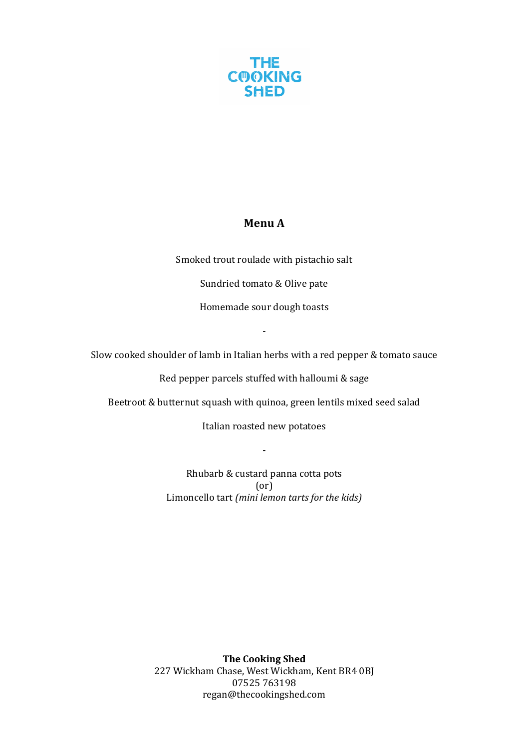

### **Menu A**

Smoked trout roulade with pistachio salt

Sundried tomato & Olive pate

Homemade sour dough toasts

Slow cooked shoulder of lamb in Italian herbs with a red pepper & tomato sauce

-

Red pepper parcels stuffed with halloumi & sage

Beetroot & butternut squash with quinoa, green lentils mixed seed salad

Italian roasted new potatoes

-

Rhubarb & custard panna cotta pots (or) Limoncello tart (mini lemon tarts for the kids)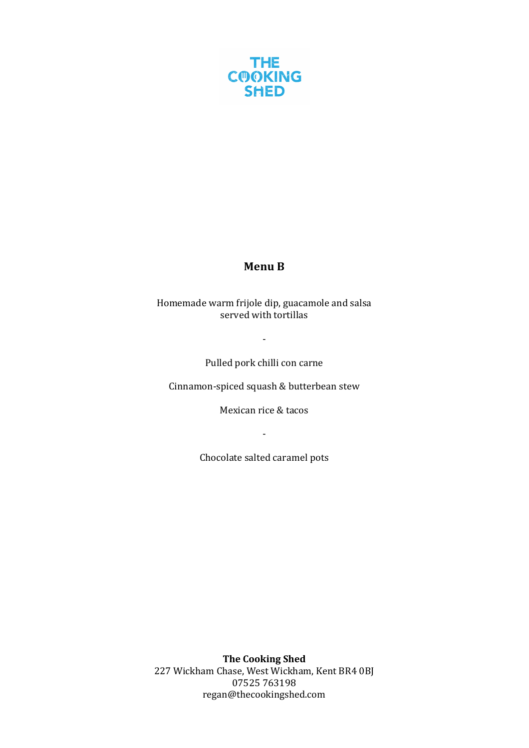

# **Menu B**

Homemade warm frijole dip, guacamole and salsa served with tortillas

Pulled pork chilli con carne

-

Cinnamon-spiced squash & butterbean stew

Mexican rice & tacos

-

Chocolate salted caramel pots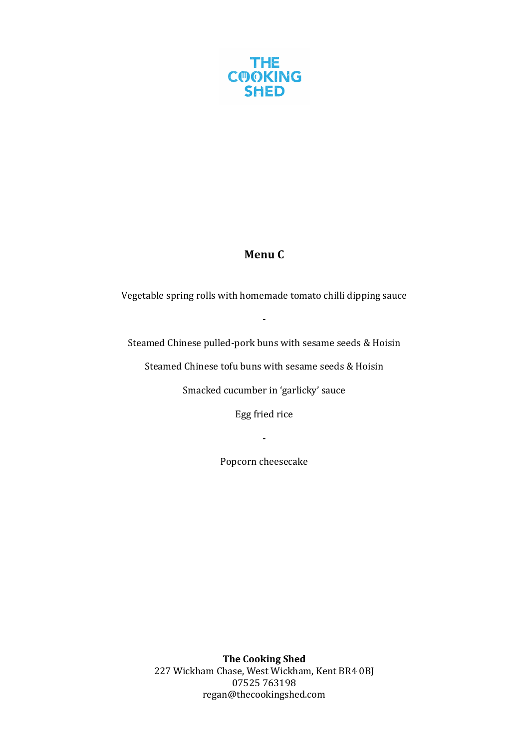

## **Menu C**

Vegetable spring rolls with homemade tomato chilli dipping sauce

-

Steamed Chinese pulled-pork buns with sesame seeds & Hoisin

Steamed Chinese tofu buns with sesame seeds & Hoisin

Smacked cucumber in 'garlicky' sauce

Egg fried rice

-

Popcorn cheesecake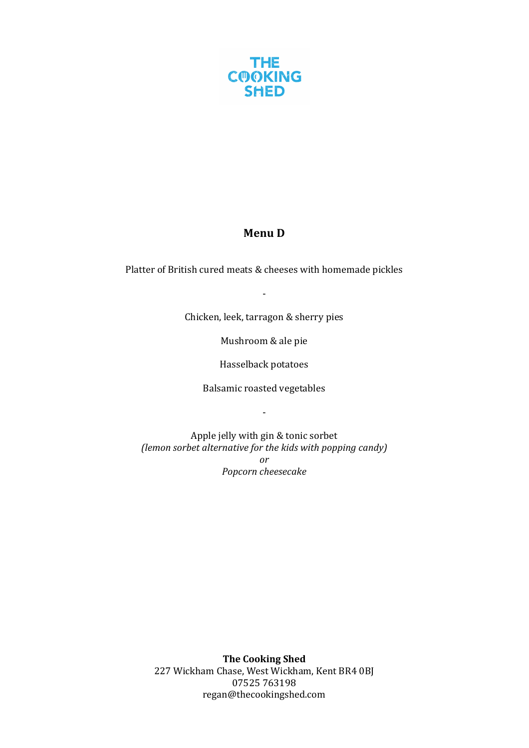

# **Menu D**

Platter of British cured meats & cheeses with homemade pickles

-

Chicken, leek, tarragon & sherry pies

Mushroom & ale pie

Hasselback potatoes

Balsamic roasted vegetables

-

Apple jelly with gin & tonic sorbet *(lemon sorbet alternative for the kids with popping candy) or Popcorn cheesecake*